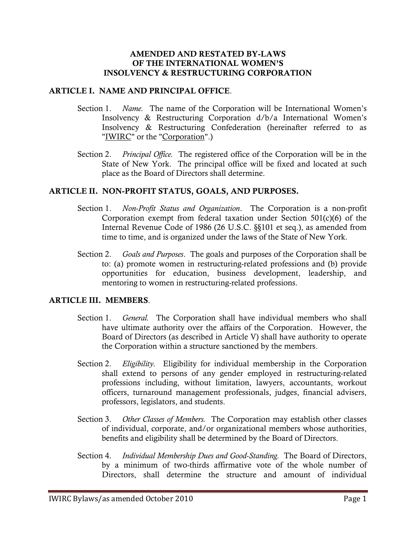#### AMENDED AND RESTATED BY-LAWS OF THE INTERNATIONAL WOMEN'S INSOLVENCY & RESTRUCTURING CORPORATION

#### ARTICLE I. NAME AND PRINCIPAL OFFICE.

- Section 1. *Name.* The name of the Corporation will be International Women's Insolvency & Restructuring Corporation d/b/a International Women's Insolvency & Restructuring Confederation (hereinafter referred to as "IWIRC" or the "Corporation".)
- Section 2. *Principal Office.* The registered office of the Corporation will be in the State of New York. The principal office will be fixed and located at such place as the Board of Directors shall determine.

#### ARTICLE II. NON-PROFIT STATUS, GOALS, AND PURPOSES.

- Section 1. *Non-Profit Status and Organization*. The Corporation is a non-profit Corporation exempt from federal taxation under Section 501(c)(6) of the Internal Revenue Code of 1986 (26 U.S.C. §§101 et seq.), as amended from time to time, and is organized under the laws of the State of New York.
- Section 2. *Goals and Purposes*. The goals and purposes of the Corporation shall be to: (a) promote women in restructuring-related professions and (b) provide opportunities for education, business development, leadership, and mentoring to women in restructuring-related professions.

#### ARTICLE III. MEMBERS.

- Section 1. *General.* The Corporation shall have individual members who shall have ultimate authority over the affairs of the Corporation. However, the Board of Directors (as described in Article V) shall have authority to operate the Corporation within a structure sanctioned by the members.
- Section 2. *Eligibility.* Eligibility for individual membership in the Corporation shall extend to persons of any gender employed in restructuring-related professions including, without limitation, lawyers, accountants, workout officers, turnaround management professionals, judges, financial advisers, professors, legislators, and students.
- Section 3. *Other Classes of Members.* The Corporation may establish other classes of individual, corporate, and/or organizational members whose authorities, benefits and eligibility shall be determined by the Board of Directors.
- Section 4. *Individual Membership Dues and Good-Standing.* The Board of Directors, by a minimum of two-thirds affirmative vote of the whole number of Directors, shall determine the structure and amount of individual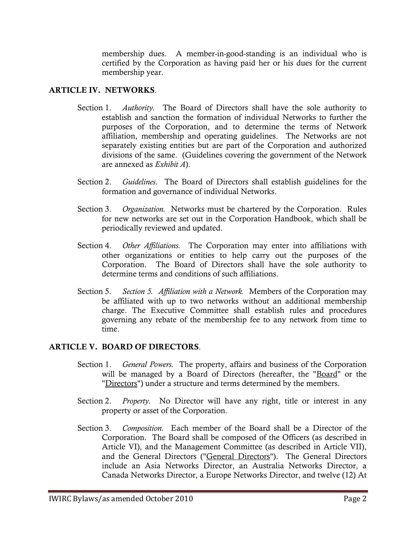membership dues. A member-in-good-standing is an individual who is certified by the Corporation as having paid her or his dues for the current membership year.

## ARTICLE IV. NETWORKS.

- Section 1. *Authority.* The Board of Directors shall have the sole authority to establish and sanction the formation of individual Networks to further the purposes of the Corporation, and to determine the terms of Network affiliation, membership and operating guidelines. The Networks are not separately existing entities but are part of the Corporation and authorized divisions of the same. (Guidelines covering the government of the Network are annexed as *Exhibit A*).
- Section 2. *Guidelines*. The Board of Directors shall establish guidelines for the formation and governance of individual Networks.
- Section 3. *Organization.* Networks must be chartered by the Corporation. Rules for new networks are set out in the Corporation Handbook, which shall be periodically reviewed and updated.
- Section 4. *Other Affiliations.* The Corporation may enter into affiliations with other organizations or entities to help carry out the purposes of the Corporation. The Board of Directors shall have the sole authority to determine terms and conditions of such affiliations.
- Section 5. *Section 5. Affiliation with a Network.* Members of the Corporation may be affiliated with up to two networks without an additional membership charge. The Executive Committee shall establish rules and procedures governing any rebate of the membership fee to any network from time to time.

# ARTICLE V. BOARD OF DIRECTORS.

- Section 1. *General Powers.* The property, affairs and business of the Corporation will be managed by a Board of Directors (hereafter, the "Board" or the "Directors") under a structure and terms determined by the members.
- Section 2. *Property.* No Director will have any right, title or interest in any property or asset of the Corporation.
- Section 3. *Composition.* Each member of the Board shall be a Director of the Corporation. The Board shall be composed of the Officers (as described in Article VI), and the Management Committee (as described in Article VII), and the General Directors ("General Directors"). The General Directors include an Asia Networks Director, an Australia Networks Director, a Canada Networks Director, a Europe Networks Director, and twelve (12) At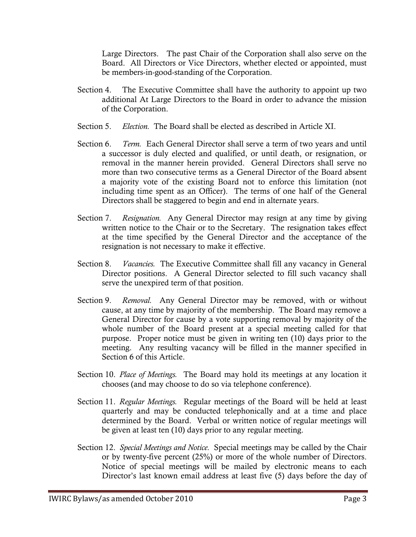Large Directors. The past Chair of the Corporation shall also serve on the Board. All Directors or Vice Directors, whether elected or appointed, must be members-in-good-standing of the Corporation.

- Section 4. The Executive Committee shall have the authority to appoint up two additional At Large Directors to the Board in order to advance the mission of the Corporation.
- Section 5. *Election.* The Board shall be elected as described in Article XI.
- Section 6. *Term.* Each General Director shall serve a term of two years and until a successor is duly elected and qualified, or until death, or resignation, or removal in the manner herein provided. General Directors shall serve no more than two consecutive terms as a General Director of the Board absent a majority vote of the existing Board not to enforce this limitation (not including time spent as an Officer). The terms of one half of the General Directors shall be staggered to begin and end in alternate years.
- Section 7. *Resignation.* Any General Director may resign at any time by giving written notice to the Chair or to the Secretary. The resignation takes effect at the time specified by the General Director and the acceptance of the resignation is not necessary to make it effective.
- Section 8. *Vacancies.* The Executive Committee shall fill any vacancy in General Director positions. A General Director selected to fill such vacancy shall serve the unexpired term of that position.
- Section 9. *Removal.* Any General Director may be removed, with or without cause, at any time by majority of the membership. The Board may remove a General Director for cause by a vote supporting removal by majority of the whole number of the Board present at a special meeting called for that purpose. Proper notice must be given in writing ten (10) days prior to the meeting. Any resulting vacancy will be filled in the manner specified in Section 6 of this Article.
- Section 10. *Place of Meetings.* The Board may hold its meetings at any location it chooses (and may choose to do so via telephone conference).
- Section 11. *Regular Meetings.* Regular meetings of the Board will be held at least quarterly and may be conducted telephonically and at a time and place determined by the Board. Verbal or written notice of regular meetings will be given at least ten (10) days prior to any regular meeting.
- Section 12. *Special Meetings and Notice.* Special meetings may be called by the Chair or by twenty-five percent (25%) or more of the whole number of Directors. Notice of special meetings will be mailed by electronic means to each Director's last known email address at least five (5) days before the day of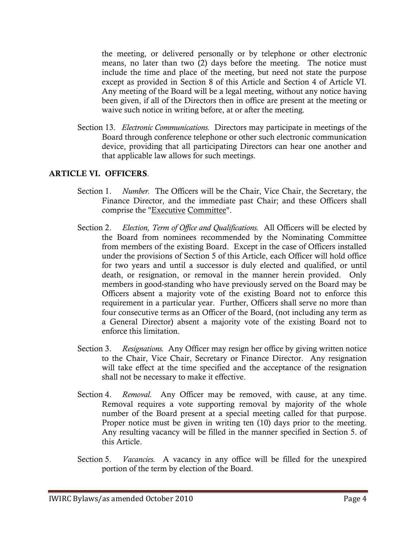the meeting, or delivered personally or by telephone or other electronic means, no later than two (2) days before the meeting. The notice must include the time and place of the meeting, but need not state the purpose except as provided in Section 8 of this Article and Section 4 of Article VI. Any meeting of the Board will be a legal meeting, without any notice having been given, if all of the Directors then in office are present at the meeting or waive such notice in writing before, at or after the meeting.

Section 13. *Electronic Communications.* Directors may participate in meetings of the Board through conference telephone or other such electronic communication device, providing that all participating Directors can hear one another and that applicable law allows for such meetings.

# ARTICLE VI. OFFICERS.

- Section 1. *Number.* The Officers will be the Chair, Vice Chair, the Secretary, the Finance Director, and the immediate past Chair; and these Officers shall comprise the "Executive Committee".
- Section 2. *Election, Term of Office and Qualifications.* All Officers will be elected by the Board from nominees recommended by the Nominating Committee from members of the existing Board. Except in the case of Officers installed under the provisions of Section 5 of this Article, each Officer will hold office for two years and until a successor is duly elected and qualified, or until death, or resignation, or removal in the manner herein provided. Only members in good-standing who have previously served on the Board may be Officers absent a majority vote of the existing Board not to enforce this requirement in a particular year. Further, Officers shall serve no more than four consecutive terms as an Officer of the Board, (not including any term as a General Director) absent a majority vote of the existing Board not to enforce this limitation.
- Section 3. *Resignations.* Any Officer may resign her office by giving written notice to the Chair, Vice Chair, Secretary or Finance Director. Any resignation will take effect at the time specified and the acceptance of the resignation shall not be necessary to make it effective.
- Section 4. *Removal.* Any Officer may be removed, with cause, at any time. Removal requires a vote supporting removal by majority of the whole number of the Board present at a special meeting called for that purpose. Proper notice must be given in writing ten (10) days prior to the meeting. Any resulting vacancy will be filled in the manner specified in Section 5. of this Article.
- Section 5. *Vacancies.* A vacancy in any office will be filled for the unexpired portion of the term by election of the Board.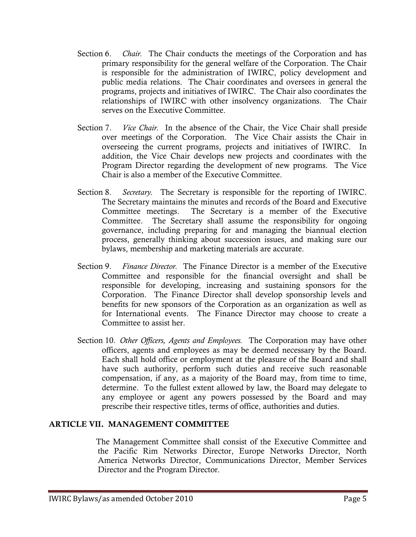- Section 6. *Chair.* The Chair conducts the meetings of the Corporation and has primary responsibility for the general welfare of the Corporation. The Chair is responsible for the administration of IWIRC, policy development and public media relations. The Chair coordinates and oversees in general the programs, projects and initiatives of IWIRC. The Chair also coordinates the relationships of IWIRC with other insolvency organizations. The Chair serves on the Executive Committee.
- Section 7. *Vice Chair.* In the absence of the Chair, the Vice Chair shall preside over meetings of the Corporation. The Vice Chair assists the Chair in overseeing the current programs, projects and initiatives of IWIRC. In addition, the Vice Chair develops new projects and coordinates with the Program Director regarding the development of new programs. The Vice Chair is also a member of the Executive Committee.
- Section 8. *Secretary.* The Secretary is responsible for the reporting of IWIRC. The Secretary maintains the minutes and records of the Board and Executive Committee meetings. The Secretary is a member of the Executive Committee. The Secretary shall assume the responsibility for ongoing governance, including preparing for and managing the biannual election process, generally thinking about succession issues, and making sure our bylaws, membership and marketing materials are accurate.
- Section 9. *Finance Director.* The Finance Director is a member of the Executive Committee and responsible for the financial oversight and shall be responsible for developing, increasing and sustaining sponsors for the Corporation. The Finance Director shall develop sponsorship levels and benefits for new sponsors of the Corporation as an organization as well as for International events. The Finance Director may choose to create a Committee to assist her.
- Section 10. *Other Officers, Agents and Employees.* The Corporation may have other officers, agents and employees as may be deemed necessary by the Board. Each shall hold office or employment at the pleasure of the Board and shall have such authority, perform such duties and receive such reasonable compensation, if any, as a majority of the Board may, from time to time, determine. To the fullest extent allowed by law, the Board may delegate to any employee or agent any powers possessed by the Board and may prescribe their respective titles, terms of office, authorities and duties.

#### ARTICLE VII. MANAGEMENT COMMITTEE

 The Management Committee shall consist of the Executive Committee and the Pacific Rim Networks Director, Europe Networks Director, North America Networks Director, Communications Director, Member Services Director and the Program Director.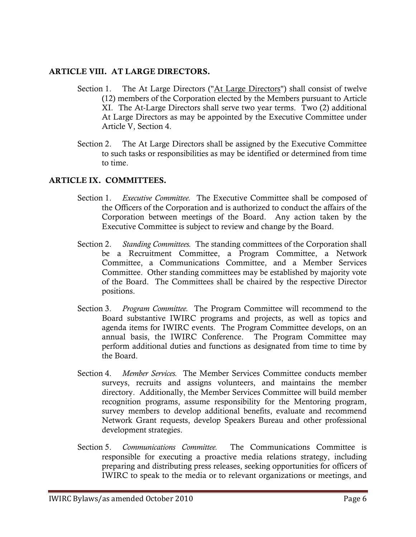## ARTICLE VIII. AT LARGE DIRECTORS.

- Section 1. The At Large Directors ("At Large Directors") shall consist of twelve (12) members of the Corporation elected by the Members pursuant to Article XI. The At-Large Directors shall serve two year terms. Two (2) additional At Large Directors as may be appointed by the Executive Committee under Article V, Section 4.
- Section 2. The At Large Directors shall be assigned by the Executive Committee to such tasks or responsibilities as may be identified or determined from time to time.

## ARTICLE IX. COMMITTEES.

- Section 1. *Executive Committee.* The Executive Committee shall be composed of the Officers of the Corporation and is authorized to conduct the affairs of the Corporation between meetings of the Board. Any action taken by the Executive Committee is subject to review and change by the Board.
- Section 2. *Standing Committees.* The standing committees of the Corporation shall be a Recruitment Committee, a Program Committee, a Network Committee, a Communications Committee, and a Member Services Committee. Other standing committees may be established by majority vote of the Board. The Committees shall be chaired by the respective Director positions.
- Section 3. *Program Committee.* The Program Committee will recommend to the Board substantive IWIRC programs and projects, as well as topics and agenda items for IWIRC events. The Program Committee develops, on an annual basis, the IWIRC Conference. The Program Committee may perform additional duties and functions as designated from time to time by the Board.
- Section 4. *Member Services.* The Member Services Committee conducts member surveys, recruits and assigns volunteers, and maintains the member directory. Additionally, the Member Services Committee will build member recognition programs, assume responsibility for the Mentoring program, survey members to develop additional benefits, evaluate and recommend Network Grant requests, develop Speakers Bureau and other professional development strategies.
- Section 5. *Communications Committee.* The Communications Committee is responsible for executing a proactive media relations strategy, including preparing and distributing press releases, seeking opportunities for officers of IWIRC to speak to the media or to relevant organizations or meetings, and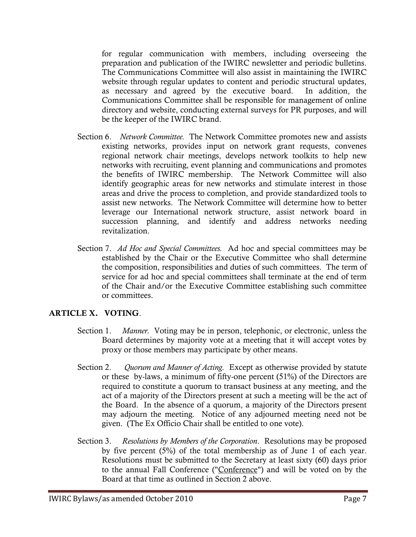for regular communication with members, including overseeing the preparation and publication of the IWIRC newsletter and periodic bulletins. The Communications Committee will also assist in maintaining the IWIRC website through regular updates to content and periodic structural updates, as necessary and agreed by the executive board. In addition, the Communications Committee shall be responsible for management of online directory and website, conducting external surveys for PR purposes, and will be the keeper of the IWIRC brand.

- Section 6. *Network Committee.* The Network Committee promotes new and assists existing networks, provides input on network grant requests, convenes regional network chair meetings, develops network toolkits to help new networks with recruiting, event planning and communications and promotes the benefits of IWIRC membership. The Network Committee will also identify geographic areas for new networks and stimulate interest in those areas and drive the process to completion, and provide standardized tools to assist new networks. The Network Committee will determine how to better leverage our International network structure, assist network board in succession planning, and identify and address networks needing revitalization.
- Section 7. *Ad Hoc and Special Committees.* Ad hoc and special committees may be established by the Chair or the Executive Committee who shall determine the composition, responsibilities and duties of such committees. The term of service for ad hoc and special committees shall terminate at the end of term of the Chair and/or the Executive Committee establishing such committee or committees.

# ARTICLE X. VOTING.

- Section 1. *Manner.* Voting may be in person, telephonic, or electronic, unless the Board determines by majority vote at a meeting that it will accept votes by proxy or those members may participate by other means.
- Section 2. *Quorum and Manner of Acting.* Except as otherwise provided by statute or these by-laws, a minimum of fifty-one percent (51%) of the Directors are required to constitute a quorum to transact business at any meeting, and the act of a majority of the Directors present at such a meeting will be the act of the Board. In the absence of a quorum, a majority of the Directors present may adjourn the meeting. Notice of any adjourned meeting need not be given. (The Ex Officio Chair shall be entitled to one vote).
- Section 3. *Resolutions by Members of the Corporation*. Resolutions may be proposed by five percent (5%) of the total membership as of June 1 of each year. Resolutions must be submitted to the Secretary at least sixty (60) days prior to the annual Fall Conference ("Conference") and will be voted on by the Board at that time as outlined in Section 2 above.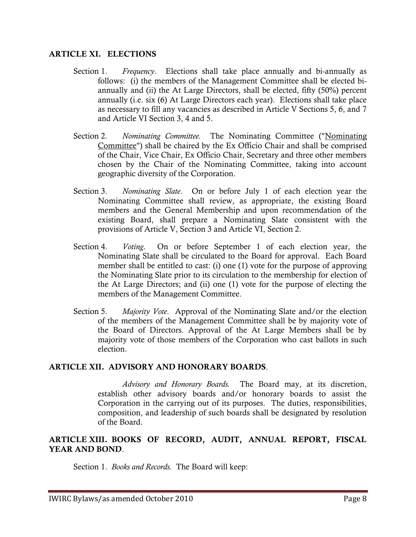#### ARTICLE XI. ELECTIONS

- Section 1. *Frequency*. Elections shall take place annually and bi-annually as follows: (i) the members of the Management Committee shall be elected biannually and (ii) the At Large Directors, shall be elected, fifty (50%) percent annually (i.e. six (6) At Large Directors each year). Elections shall take place as necessary to fill any vacancies as described in Article V Sections 5, 6, and 7 and Article VI Section 3, 4 and 5.
- Section 2. *Nominating Committee.* The Nominating Committee ("Nominating Committee") shall be chaired by the Ex Officio Chair and shall be comprised of the Chair, Vice Chair, Ex Officio Chair, Secretary and three other members chosen by the Chair of the Nominating Committee, taking into account geographic diversity of the Corporation.
- Section 3. *Nominating Slate*. On or before July 1 of each election year the Nominating Committee shall review, as appropriate, the existing Board members and the General Membership and upon recommendation of the existing Board, shall prepare a Nominating Slate consistent with the provisions of Article V, Section 3 and Article VI, Section 2.
- Section 4. *Voting*. On or before September 1 of each election year, the Nominating Slate shall be circulated to the Board for approval. Each Board member shall be entitled to cast: (i) one (1) vote for the purpose of approving the Nominating Slate prior to its circulation to the membership for election of the At Large Directors; and (ii) one (1) vote for the purpose of electing the members of the Management Committee.
- Section 5. *Majority Vote*. Approval of the Nominating Slate and/or the election of the members of the Management Committee shall be by majority vote of the Board of Directors. Approval of the At Large Members shall be by majority vote of those members of the Corporation who cast ballots in such election.

# ARTICLE XII. ADVISORY AND HONORARY BOARDS.

*Advisory and Honorary Boards.* The Board may, at its discretion, establish other advisory boards and/or honorary boards to assist the Corporation in the carrying out of its purposes. The duties, responsibilities, composition, and leadership of such boards shall be designated by resolution of the Board.

# ARTICLE XIII. BOOKS OF RECORD, AUDIT, ANNUAL REPORT, FISCAL YEAR AND BOND.

Section 1. *Books and Records.* The Board will keep: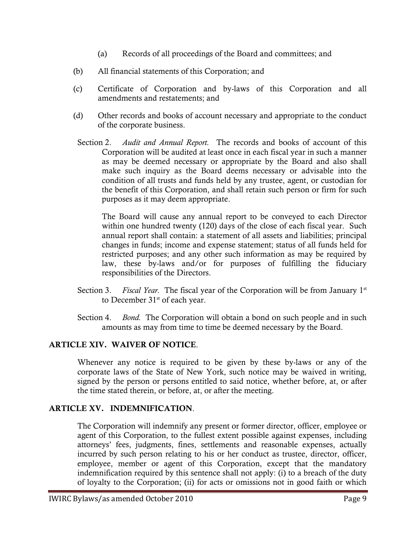- (a) Records of all proceedings of the Board and committees; and
- (b) All financial statements of this Corporation; and
- (c) Certificate of Corporation and by-laws of this Corporation and all amendments and restatements; and
- (d) Other records and books of account necessary and appropriate to the conduct of the corporate business.
- Section 2. *Audit and Annual Report.* The records and books of account of this Corporation will be audited at least once in each fiscal year in such a manner as may be deemed necessary or appropriate by the Board and also shall make such inquiry as the Board deems necessary or advisable into the condition of all trusts and funds held by any trustee, agent, or custodian for the benefit of this Corporation, and shall retain such person or firm for such purposes as it may deem appropriate.

The Board will cause any annual report to be conveyed to each Director within one hundred twenty (120) days of the close of each fiscal year. Such annual report shall contain: a statement of all assets and liabilities; principal changes in funds; income and expense statement; status of all funds held for restricted purposes; and any other such information as may be required by law, these by-laws and/or for purposes of fulfilling the fiduciary responsibilities of the Directors.

- Section 3. Fiscal Year. The fiscal year of the Corporation will be from January 1<sup>st</sup> to December 31<sup>st</sup> of each year.
- Section 4. *Bond.* The Corporation will obtain a bond on such people and in such amounts as may from time to time be deemed necessary by the Board.

# ARTICLE XIV. WAIVER OF NOTICE.

Whenever any notice is required to be given by these by-laws or any of the corporate laws of the State of New York, such notice may be waived in writing, signed by the person or persons entitled to said notice, whether before, at, or after the time stated therein, or before, at, or after the meeting.

# ARTICLE XV. INDEMNIFICATION.

The Corporation will indemnify any present or former director, officer, employee or agent of this Corporation, to the fullest extent possible against expenses, including attorneys' fees, judgments, fines, settlements and reasonable expenses, actually incurred by such person relating to his or her conduct as trustee, director, officer, employee, member or agent of this Corporation, except that the mandatory indemnification required by this sentence shall not apply: (i) to a breach of the duty of loyalty to the Corporation; (ii) for acts or omissions not in good faith or which